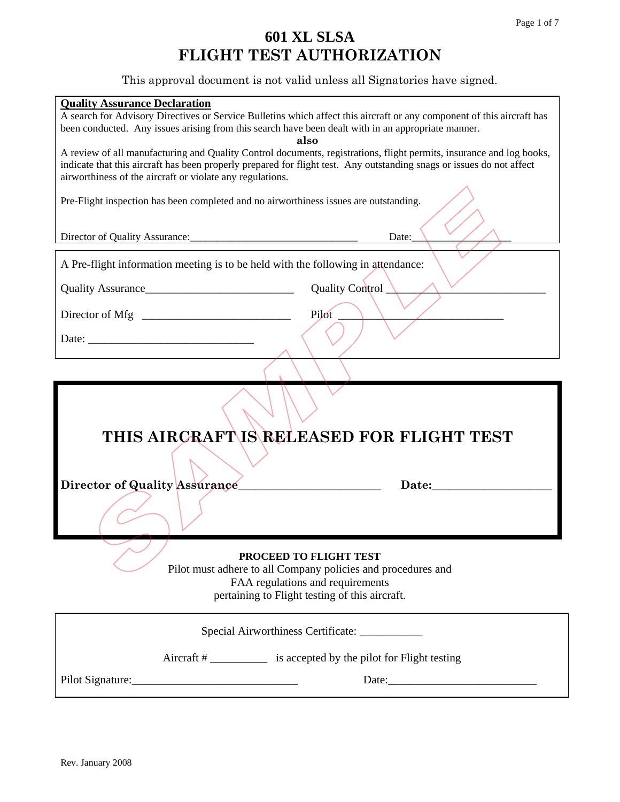# **601 XL SLSA FLIGHT TEST AUTHORIZATION**

This approval document is not valid unless all Signatories have signed.

| <b>Quality Assurance Declaration</b><br>been conducted. Any issues arising from this search have been dealt with in an appropriate manner.                                         | A search for Advisory Directives or Service Bulletins which affect this aircraft or any component of this aircraft has<br>also                                               |  |  |  |
|------------------------------------------------------------------------------------------------------------------------------------------------------------------------------------|------------------------------------------------------------------------------------------------------------------------------------------------------------------------------|--|--|--|
| indicate that this aircraft has been properly prepared for flight test. Any outstanding snags or issues do not affect<br>airworthiness of the aircraft or violate any regulations. | A review of all manufacturing and Quality Control documents, registrations, flight permits, insurance and log books,                                                         |  |  |  |
| Pre-Flight inspection has been completed and no airworthiness issues are outstanding.                                                                                              |                                                                                                                                                                              |  |  |  |
|                                                                                                                                                                                    | Date:                                                                                                                                                                        |  |  |  |
| A Pre-flight information meeting is to be held with the following in attendance:                                                                                                   |                                                                                                                                                                              |  |  |  |
|                                                                                                                                                                                    | Quality Control_                                                                                                                                                             |  |  |  |
|                                                                                                                                                                                    | Pilot                                                                                                                                                                        |  |  |  |
|                                                                                                                                                                                    |                                                                                                                                                                              |  |  |  |
|                                                                                                                                                                                    |                                                                                                                                                                              |  |  |  |
|                                                                                                                                                                                    |                                                                                                                                                                              |  |  |  |
|                                                                                                                                                                                    | THIS AIRCRAFT\IS\RELEASED FOR FLIGHT TEST                                                                                                                                    |  |  |  |
|                                                                                                                                                                                    |                                                                                                                                                                              |  |  |  |
| Director of Quality Assurance                                                                                                                                                      | Date:                                                                                                                                                                        |  |  |  |
|                                                                                                                                                                                    |                                                                                                                                                                              |  |  |  |
|                                                                                                                                                                                    | PROCEED TO FLIGHT TEST<br>Pilot must adhere to all Company policies and procedures and<br>FAA regulations and requirements<br>pertaining to Flight testing of this aircraft. |  |  |  |
|                                                                                                                                                                                    | Special Airworthiness Certificate: ___________                                                                                                                               |  |  |  |
|                                                                                                                                                                                    | Aircraft # _____________ is accepted by the pilot for Flight testing                                                                                                         |  |  |  |
| Pilot Signature:                                                                                                                                                                   |                                                                                                                                                                              |  |  |  |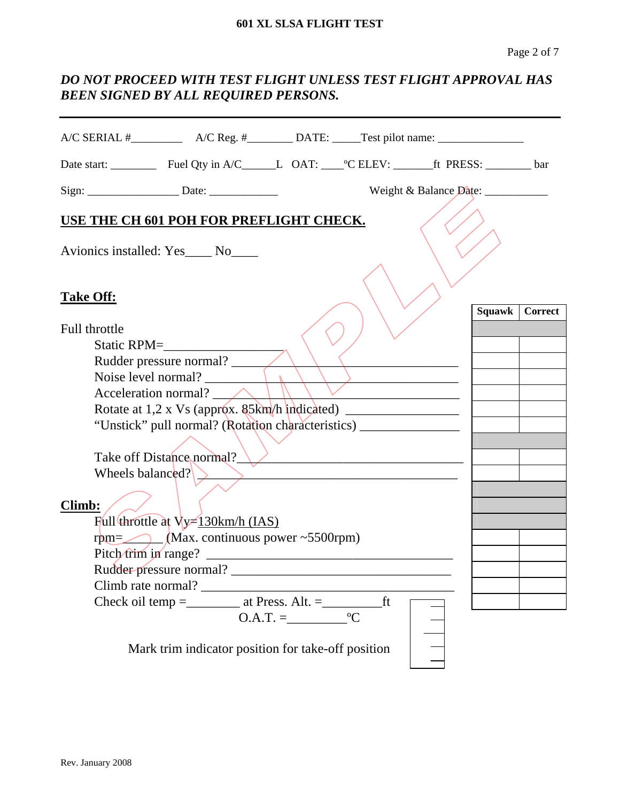### *DO NOT PROCEED WITH TEST FLIGHT UNLESS TEST FLIGHT APPROVAL HAS BEEN SIGNED BY ALL REQUIRED PERSONS.*

| $A/C$ SERIAL $\#$ $A/C$ Reg. $\#$ $DATE$ : $Test$ pilot name:                                          |                                  |                |
|--------------------------------------------------------------------------------------------------------|----------------------------------|----------------|
| Date start: _____________ Fuel Qty in A/C_______L_ OAT: _____°C ELEV: _________ft PRESS: _________ bar |                                  |                |
|                                                                                                        | Weight & Balance Date: _________ |                |
| USE THE CH 601 POH FOR PREFLIGHT CHECK.                                                                |                                  |                |
| Avionics installed: Yes____ No____                                                                     |                                  |                |
| <b>Take Off:</b>                                                                                       | Squawk                           | <b>Correct</b> |
| Full throttle                                                                                          |                                  |                |
| Static RPM=                                                                                            |                                  |                |
| Rudder pressure normal?                                                                                |                                  |                |
| Noise level normal? $\frac{1}{\sqrt{2}}$                                                               |                                  |                |
| Acceleration normal? $\_\_\_\_\_\_\_\_\_\$                                                             |                                  |                |
| Rotate at 1,2 x Vs (approx. 85km/h indicated) ___________________________________                      |                                  |                |
| "Unstick" pull normal? (Rotation characteristics) ______________________________                       |                                  |                |
|                                                                                                        |                                  |                |
| Take off Distance normal?                                                                              |                                  |                |
| Wheels balanced?                                                                                       |                                  |                |
| <b>Climb:</b>                                                                                          |                                  |                |
| Full throttle at Vy - 130km/h (IAS)                                                                    |                                  |                |
| $rpm =$ (Max. continuous power ~5500rpm)                                                               |                                  |                |
|                                                                                                        |                                  |                |
|                                                                                                        |                                  |                |
| Climb rate normal? _______                                                                             |                                  |                |
|                                                                                                        |                                  |                |
| $O.A.T. = \underline{C}$                                                                               |                                  |                |
| Mark trim indicator position for take-off position                                                     |                                  |                |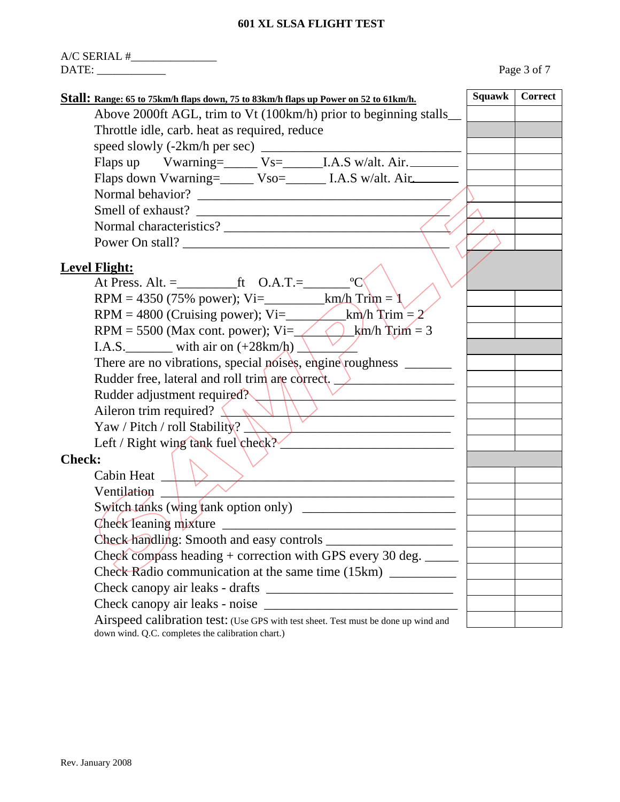|                                                                                                                                         |        | Page 3 of 7 |
|-----------------------------------------------------------------------------------------------------------------------------------------|--------|-------------|
| Stall: Range: 65 to 75km/h flaps down, 75 to 83km/h flaps up Power on 52 to 61km/h.                                                     | Squawk | Correct     |
| Above 2000ft AGL, trim to Vt (100km/h) prior to beginning stalls                                                                        |        |             |
| Throttle idle, carb. heat as required, reduce                                                                                           |        |             |
|                                                                                                                                         |        |             |
| Flaps up Vwarning=_____ Vs=______I.A.S w/alt. Air.                                                                                      |        |             |
| Flaps down Vwarning=_____ Vso=________ I.A.S w/alt. Air.                                                                                |        |             |
|                                                                                                                                         |        |             |
|                                                                                                                                         |        |             |
|                                                                                                                                         |        |             |
| Power On stall?                                                                                                                         |        |             |
| <b>Level Flight:</b>                                                                                                                    |        |             |
|                                                                                                                                         |        |             |
| RPM = 4350 (75% power); Vi=____________km/h Trim = $1$                                                                                  |        |             |
|                                                                                                                                         |        |             |
| RPM = 5500 (Max cont. power); Vi= $\angle\angle\angle\}$ km/h Trim = 3                                                                  |        |             |
| I.A.S. with air on $(+28km/h)$                                                                                                          |        |             |
| There are no vibrations, special noises, engine\roughness ______                                                                        |        |             |
| Rudder free, lateral and roll trim are correct. >                                                                                       |        |             |
| Rudder adjustment required?                                                                                                             |        |             |
| Aileron trim required? $\left\langle \right\rangle$                                                                                     |        |             |
| Yaw / Pitch / roll Stability?                                                                                                           |        |             |
| Left / Right wing tank fuel check?                                                                                                      |        |             |
| <b>Check:</b>                                                                                                                           |        |             |
| Cabin Heat $\begin{array}{ c c c c c }\n\hline\n\end{array}$                                                                            |        |             |
| Ventilation _                                                                                                                           |        |             |
|                                                                                                                                         |        |             |
|                                                                                                                                         |        |             |
|                                                                                                                                         |        |             |
| Check compass heading + correction with GPS every 30 deg. _____                                                                         |        |             |
| Check Radio communication at the same time (15km) __________                                                                            |        |             |
|                                                                                                                                         |        |             |
|                                                                                                                                         |        |             |
| Airspeed calibration test: (Use GPS with test sheet. Test must be done up wind and<br>down wind. Q.C. completes the calibration chart.) |        |             |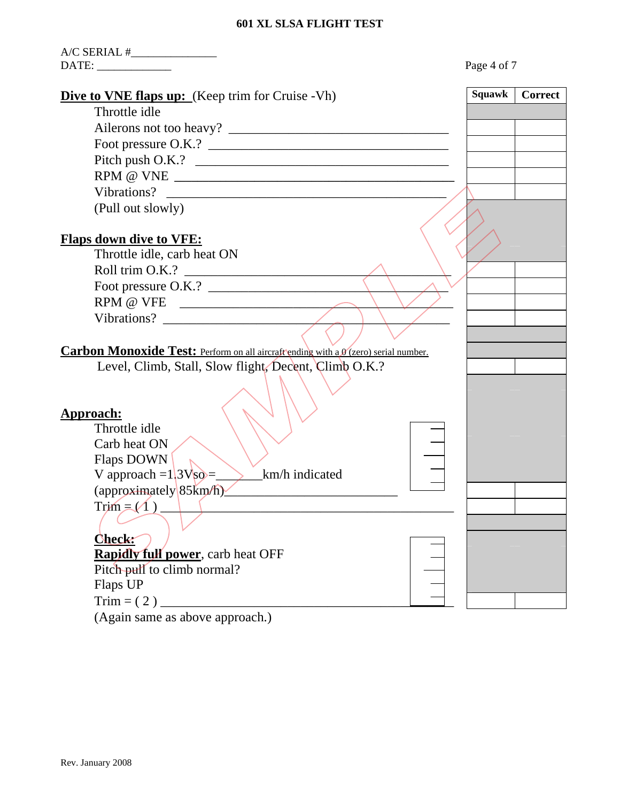| $A/C$ SERIAL $\#$                                                                   |               |                |
|-------------------------------------------------------------------------------------|---------------|----------------|
|                                                                                     | Page 4 of 7   |                |
| <b>Dive to VNE flaps up:</b> (Keep trim for Cruise - Vh)                            | <b>Squawk</b> | <b>Correct</b> |
| Throttle idle                                                                       |               |                |
|                                                                                     |               |                |
|                                                                                     |               |                |
|                                                                                     |               |                |
| $RPM \textit{ } @ \textit{ VNE } \textit{ }$                                        |               |                |
|                                                                                     |               |                |
| (Pull out slowly)                                                                   |               |                |
| <b>Flaps down dive to VFE:</b>                                                      |               |                |
| Throttle idle, carb heat ON                                                         |               |                |
| Roll trim O.K.?                                                                     |               |                |
| Foot pressure O.K.?                                                                 |               |                |
|                                                                                     |               |                |
|                                                                                     |               |                |
|                                                                                     |               |                |
| Carbon Monoxide Test: Perform on all aircraft ending with a 0 (zero) serial number. |               |                |
| Level, Climb, Stall, Slow flight, Decent, Climb O.K.?                               |               |                |
| Approach:<br>Throttle idle                                                          |               |                |
| Carb heat ON                                                                        |               |                |
| Flaps DOWN                                                                          |               |                |
| V approach = $13VSO$ =<br>km/h indicated                                            |               |                |
| (approximately 85km/h)                                                              |               |                |
| $Trim = (1)$                                                                        |               |                |
|                                                                                     |               |                |
| Check:                                                                              |               |                |
| <b>Rapidly full power</b> , carb heat OFF                                           |               |                |
| Pitch pull to climb normal?                                                         |               |                |
| Flaps UP                                                                            |               |                |
| $Trim = (2)$                                                                        |               |                |

(Again same as above approach.)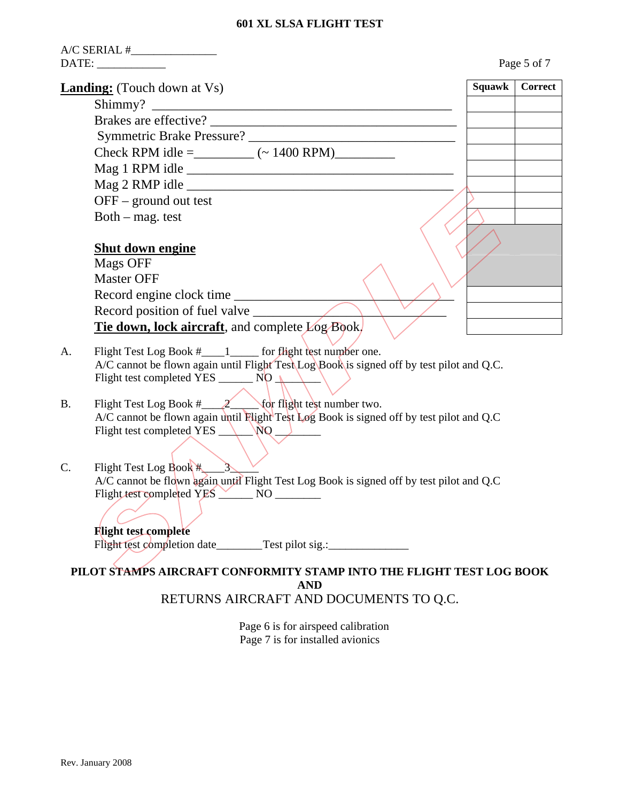| A/C SERIAL #_________________                                                                                                                                                                                                                                                                |        | Page 5 of 7 |
|----------------------------------------------------------------------------------------------------------------------------------------------------------------------------------------------------------------------------------------------------------------------------------------------|--------|-------------|
| <b>Landing:</b> (Touch down at Vs)                                                                                                                                                                                                                                                           | Squawk | Correct     |
|                                                                                                                                                                                                                                                                                              |        |             |
|                                                                                                                                                                                                                                                                                              |        |             |
|                                                                                                                                                                                                                                                                                              |        |             |
| Check RPM idle = _________ (~ 1400 RPM)_________                                                                                                                                                                                                                                             |        |             |
|                                                                                                                                                                                                                                                                                              |        |             |
|                                                                                                                                                                                                                                                                                              |        |             |
| $OFF - ground$ out test                                                                                                                                                                                                                                                                      |        |             |
| Both - mag. test                                                                                                                                                                                                                                                                             |        |             |
|                                                                                                                                                                                                                                                                                              |        |             |
| <b>Shut down engine</b>                                                                                                                                                                                                                                                                      |        |             |
| Mags OFF                                                                                                                                                                                                                                                                                     |        |             |
| <b>Master OFF</b>                                                                                                                                                                                                                                                                            |        |             |
| Record engine clock time                                                                                                                                                                                                                                                                     |        |             |
| Record position of fuel valve                                                                                                                                                                                                                                                                |        |             |
| <b>Tie down, lock aircraft</b> , and complete Log Book.                                                                                                                                                                                                                                      |        |             |
| Flight Test Log Book #____1 _____ for flight test number one.<br>A.<br>A/C cannot be flown again until Flight Test Log Book is signed off by test pilot and Q.C.<br>Flight test completed YES ________ NO $\sqrt{2}$                                                                         |        |             |
| Flight Test Log Book $\#$ 2 for flight test number two.<br><b>B.</b><br>A/C cannot be flown again until Flight Test Log Book is signed off by test pilot and Q.C<br>Flight test completed YES NO                                                                                             |        |             |
| $\rightarrow$<br>Flight Test Log Book #<br>$\mathbf{C}$ .<br>A/C cannot be flown again until Flight Test Log Book is signed off by test pilot and Q.C<br>Flight test completed YES<br>N <sub>O</sub><br><u> André de la contrada de la contrada de la con</u><br><b>Flight test complete</b> |        |             |
| Flight test completion date________Test pilot sig.:______________________________<br>PILOT STAMPS AIRCRAFT CONFORMITY STAMP INTO THE FLIGHT TEST LOG BOOK                                                                                                                                    |        |             |
| <b>AND</b><br>RETURNS AIRCRAFT AND DOCUMENTS TO Q.C.                                                                                                                                                                                                                                         |        |             |

 Page 6 is for airspeed calibration Page 7 is for installed avionics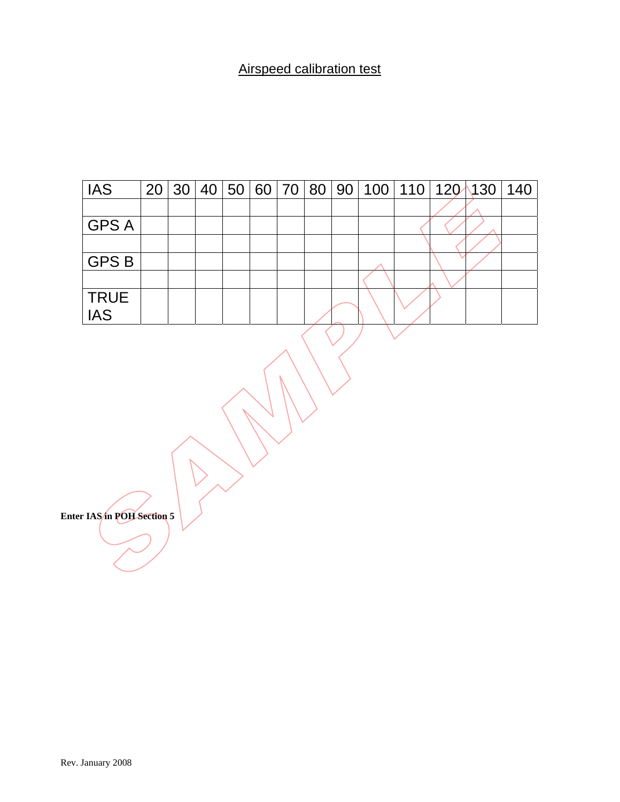## Airspeed calibration test

| <b>IAS</b>                | 20 | 30 <sup>°</sup> |  |  |  |  | 40 50 60 70 80 90 100 110 120 130 | 140 |
|---------------------------|----|-----------------|--|--|--|--|-----------------------------------|-----|
|                           |    |                 |  |  |  |  |                                   |     |
| <b>GPS A</b>              |    |                 |  |  |  |  |                                   |     |
|                           |    |                 |  |  |  |  |                                   |     |
| <b>GPSB</b>               |    |                 |  |  |  |  |                                   |     |
|                           |    |                 |  |  |  |  |                                   |     |
| <b>TRUE</b><br><b>IAS</b> |    |                 |  |  |  |  |                                   |     |
| r IAS/in POH Section 5    |    |                 |  |  |  |  |                                   |     |

**Enter IAS** in POH Section 5